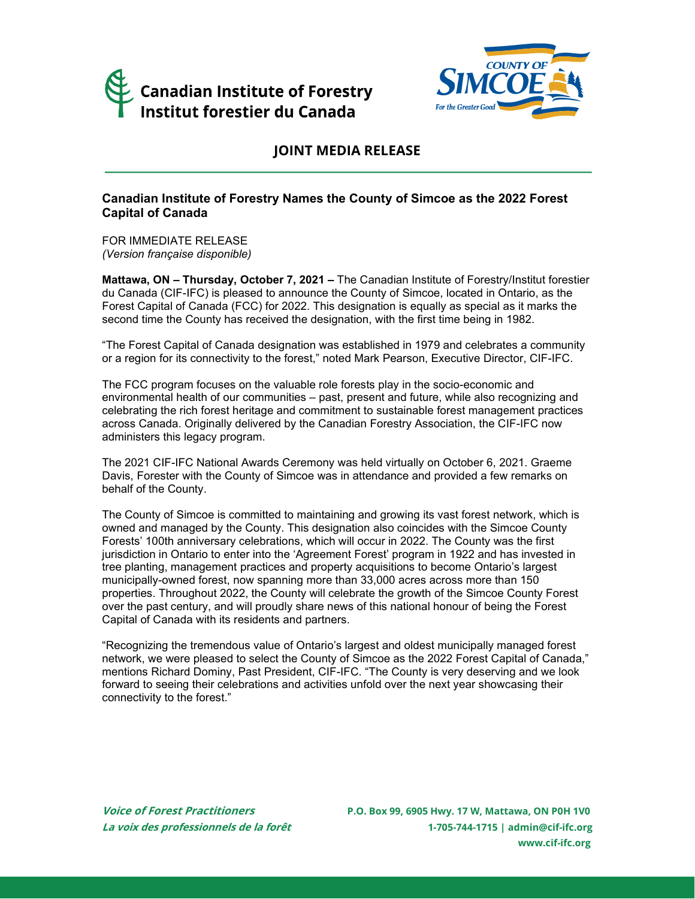



## **JOINT MEDIA RELEASE**

### **Canadian Institute of Forestry Names the County of Simcoe as the 2022 Forest Capital of Canada**

FOR IMMEDIATE RELEASE *(Version française disponible)*

**Mattawa, ON – Thursday, October 7, 2021 –** The Canadian Institute of Forestry/Institut forestier du Canada (CIF-IFC) is pleased to announce the County of Simcoe, located in Ontario, as the Forest Capital of Canada (FCC) for 2022. This designation is equally as special as it marks the second time the County has received the designation, with the first time being in 1982.

"The Forest Capital of Canada designation was established in 1979 and celebrates a community or a region for its connectivity to the forest," noted Mark Pearson, Executive Director, CIF-IFC.

The FCC program focuses on the valuable role forests play in the socio-economic and environmental health of our communities – past, present and future, while also recognizing and celebrating the rich forest heritage and commitment to sustainable forest management practices across Canada. Originally delivered by the Canadian Forestry Association, the CIF-IFC now administers this legacy program.

The 2021 CIF-IFC National Awards Ceremony was held virtually on October 6, 2021. Graeme Davis, Forester with the County of Simcoe was in attendance and provided a few remarks on behalf of the County.

The County of Simcoe is committed to maintaining and growing its vast forest network, which is owned and managed by the County. This designation also coincides with the Simcoe County Forests' 100th anniversary celebrations, which will occur in 2022. The County was the first jurisdiction in Ontario to enter into the 'Agreement Forest' program in 1922 and has invested in tree planting, management practices and property acquisitions to become Ontario's largest municipally-owned forest, now spanning more than 33,000 acres across more than 150 properties. Throughout 2022, the County will celebrate the growth of the Simcoe County Forest over the past century, and will proudly share news of this national honour of being the Forest Capital of Canada with its residents and partners.

"Recognizing the tremendous value of Ontario's largest and oldest municipally managed forest network, we were pleased to select the County of Simcoe as the 2022 Forest Capital of Canada," mentions Richard Dominy, Past President, CIF-IFC. "The County is very deserving and we look forward to seeing their celebrations and activities unfold over the next year showcasing their connectivity to the forest."

**Voice of Forest Practitioners P.O. Box 99, 6905 Hwy. 17 W, Mattawa, ON P0H 1V0 La voix des professionnels de la forêt 1-705-744-1715 [| admin@cif-ifc.org](mailto:admin@cif-ifc.org) [www.cif-ifc.org](http://www.cif-ifc.org/)**